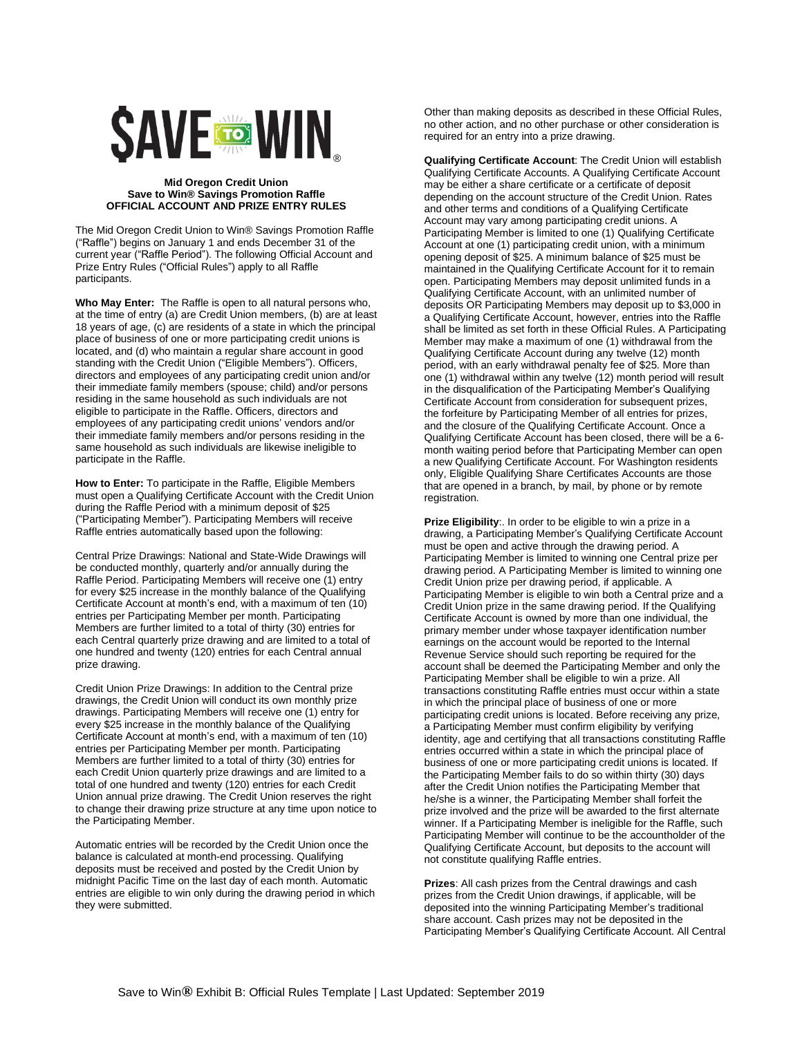

## **Mid Oregon Credit Union Save to Win® Savings Promotion Raffle OFFICIAL ACCOUNT AND PRIZE ENTRY RULES**

The Mid Oregon Credit Union to Win® Savings Promotion Raffle ("Raffle") begins on January 1 and ends December 31 of the current year ("Raffle Period"). The following Official Account and Prize Entry Rules ("Official Rules") apply to all Raffle participants.

**Who May Enter:** The Raffle is open to all natural persons who, at the time of entry (a) are Credit Union members, (b) are at least 18 years of age, (c) are residents of a state in which the principal place of business of one or more participating credit unions is located, and (d) who maintain a regular share account in good standing with the Credit Union ("Eligible Members"). Officers, directors and employees of any participating credit union and/or their immediate family members (spouse; child) and/or persons residing in the same household as such individuals are not eligible to participate in the Raffle. Officers, directors and employees of any participating credit unions' vendors and/or their immediate family members and/or persons residing in the same household as such individuals are likewise ineligible to participate in the Raffle.

**How to Enter:** To participate in the Raffle, Eligible Members must open a Qualifying Certificate Account with the Credit Union during the Raffle Period with a minimum deposit of \$25 ("Participating Member"). Participating Members will receive Raffle entries automatically based upon the following:

Central Prize Drawings: National and State-Wide Drawings will be conducted monthly, quarterly and/or annually during the Raffle Period. Participating Members will receive one (1) entry for every \$25 increase in the monthly balance of the Qualifying Certificate Account at month's end, with a maximum of ten (10) entries per Participating Member per month. Participating Members are further limited to a total of thirty (30) entries for each Central quarterly prize drawing and are limited to a total of one hundred and twenty (120) entries for each Central annual prize drawing.

Credit Union Prize Drawings: In addition to the Central prize drawings, the Credit Union will conduct its own monthly prize drawings. Participating Members will receive one (1) entry for every \$25 increase in the monthly balance of the Qualifying Certificate Account at month's end, with a maximum of ten (10) entries per Participating Member per month. Participating Members are further limited to a total of thirty (30) entries for each Credit Union quarterly prize drawings and are limited to a total of one hundred and twenty (120) entries for each Credit Union annual prize drawing. The Credit Union reserves the right to change their drawing prize structure at any time upon notice to the Participating Member.

Automatic entries will be recorded by the Credit Union once the balance is calculated at month-end processing. Qualifying deposits must be received and posted by the Credit Union by midnight Pacific Time on the last day of each month. Automatic entries are eligible to win only during the drawing period in which they were submitted.

Other than making deposits as described in these Official Rules, no other action, and no other purchase or other consideration is required for an entry into a prize drawing.

**Qualifying Certificate Account**: The Credit Union will establish Qualifying Certificate Accounts. A Qualifying Certificate Account may be either a share certificate or a certificate of deposit depending on the account structure of the Credit Union. Rates and other terms and conditions of a Qualifying Certificate Account may vary among participating credit unions. A Participating Member is limited to one (1) Qualifying Certificate Account at one (1) participating credit union, with a minimum opening deposit of \$25. A minimum balance of \$25 must be maintained in the Qualifying Certificate Account for it to remain open. Participating Members may deposit unlimited funds in a Qualifying Certificate Account, with an unlimited number of deposits OR Participating Members may deposit up to \$3,000 in a Qualifying Certificate Account, however, entries into the Raffle shall be limited as set forth in these Official Rules. A Participating Member may make a maximum of one (1) withdrawal from the Qualifying Certificate Account during any twelve (12) month period, with an early withdrawal penalty fee of \$25. More than one (1) withdrawal within any twelve (12) month period will result in the disqualification of the Participating Member's Qualifying Certificate Account from consideration for subsequent prizes, the forfeiture by Participating Member of all entries for prizes, and the closure of the Qualifying Certificate Account. Once a Qualifying Certificate Account has been closed, there will be a 6 month waiting period before that Participating Member can open a new Qualifying Certificate Account. For Washington residents only, Eligible Qualifying Share Certificates Accounts are those that are opened in a branch, by mail, by phone or by remote registration.

**Prize Eligibility**:. In order to be eligible to win a prize in a drawing, a Participating Member's Qualifying Certificate Account must be open and active through the drawing period. A Participating Member is limited to winning one Central prize per drawing period. A Participating Member is limited to winning one Credit Union prize per drawing period, if applicable. A Participating Member is eligible to win both a Central prize and a Credit Union prize in the same drawing period. If the Qualifying Certificate Account is owned by more than one individual, the primary member under whose taxpayer identification number earnings on the account would be reported to the Internal Revenue Service should such reporting be required for the account shall be deemed the Participating Member and only the Participating Member shall be eligible to win a prize. All transactions constituting Raffle entries must occur within a state in which the principal place of business of one or more participating credit unions is located. Before receiving any prize, a Participating Member must confirm eligibility by verifying identity, age and certifying that all transactions constituting Raffle entries occurred within a state in which the principal place of business of one or more participating credit unions is located. If the Participating Member fails to do so within thirty (30) days after the Credit Union notifies the Participating Member that he/she is a winner, the Participating Member shall forfeit the prize involved and the prize will be awarded to the first alternate winner. If a Participating Member is ineligible for the Raffle, such Participating Member will continue to be the accountholder of the Qualifying Certificate Account, but deposits to the account will not constitute qualifying Raffle entries.

**Prizes**: All cash prizes from the Central drawings and cash prizes from the Credit Union drawings, if applicable, will be deposited into the winning Participating Member's traditional share account. Cash prizes may not be deposited in the Participating Member's Qualifying Certificate Account. All Central